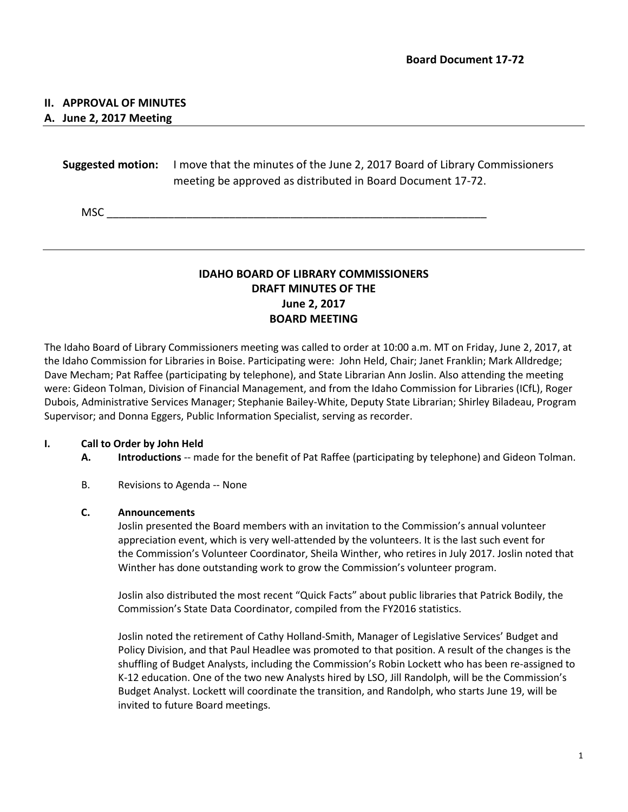## **II. APPROVAL OF MINUTES**

## **A. June 2, 2017 Meeting**

**Suggested motion:** I move that the minutes of the June 2, 2017 Board of Library Commissioners meeting be approved as distributed in Board Document 17-72.

 $MSC$ 

# **IDAHO BOARD OF LIBRARY COMMISSIONERS DRAFT MINUTES OF THE June 2, 2017 BOARD MEETING**

The Idaho Board of Library Commissioners meeting was called to order at 10:00 a.m. MT on Friday, June 2, 2017, at the Idaho Commission for Libraries in Boise. Participating were: John Held, Chair; Janet Franklin; Mark Alldredge; Dave Mecham; Pat Raffee (participating by telephone), and State Librarian Ann Joslin. Also attending the meeting were: Gideon Tolman, Division of Financial Management, and from the Idaho Commission for Libraries (ICfL), Roger Dubois, Administrative Services Manager; Stephanie Bailey-White, Deputy State Librarian; Shirley Biladeau, Program Supervisor; and Donna Eggers, Public Information Specialist, serving as recorder.

## **I. Call to Order by John Held**

- **A. Introductions** -- made for the benefit of Pat Raffee (participating by telephone) and Gideon Tolman.
- B. Revisions to Agenda -- None

## **C. Announcements**

Joslin presented the Board members with an invitation to the Commission's annual volunteer appreciation event, which is very well-attended by the volunteers. It is the last such event for the Commission's Volunteer Coordinator, Sheila Winther, who retires in July 2017. Joslin noted that Winther has done outstanding work to grow the Commission's volunteer program.

Joslin also distributed the most recent "Quick Facts" about public libraries that Patrick Bodily, the Commission's State Data Coordinator, compiled from the FY2016 statistics.

Joslin noted the retirement of Cathy Holland-Smith, Manager of Legislative Services' Budget and Policy Division, and that Paul Headlee was promoted to that position. A result of the changes is the shuffling of Budget Analysts, including the Commission's Robin Lockett who has been re-assigned to K-12 education. One of the two new Analysts hired by LSO, Jill Randolph, will be the Commission's Budget Analyst. Lockett will coordinate the transition, and Randolph, who starts June 19, will be invited to future Board meetings.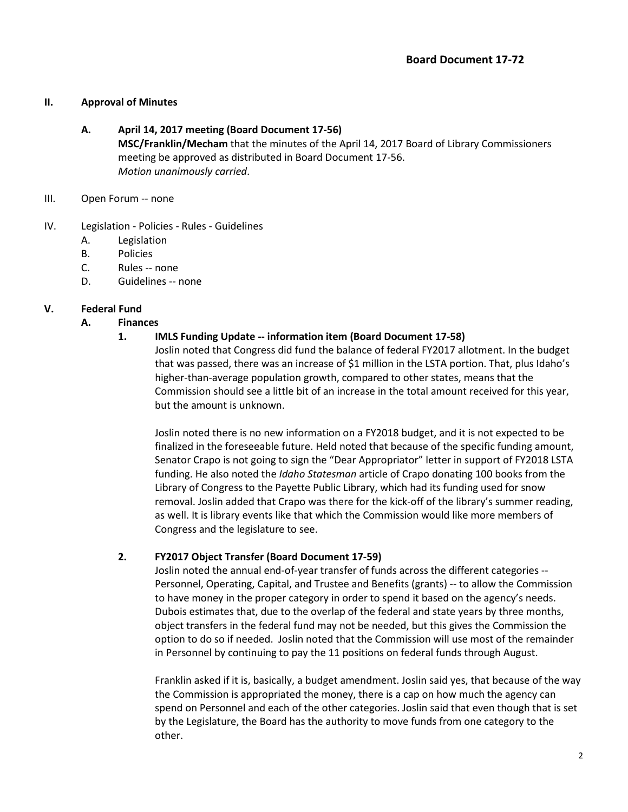## **II. Approval of Minutes**

## **A. April 14, 2017 meeting (Board Document 17-56)**

**MSC/Franklin/Mecham** that the minutes of the April 14, 2017 Board of Library Commissioners meeting be approved as distributed in Board Document 17-56. *Motion unanimously carried*.

- III. Open Forum -- none
- IV. Legislation Policies Rules Guidelines
	- A. Legislation
	- B. Policies
	- C. Rules -- none
	- D. Guidelines -- none

## **V. Federal Fund**

**A. Finances**

## **1. IMLS Funding Update -- information item (Board Document 17-58)**

Joslin noted that Congress did fund the balance of federal FY2017 allotment. In the budget that was passed, there was an increase of \$1 million in the LSTA portion. That, plus Idaho's higher-than-average population growth, compared to other states, means that the Commission should see a little bit of an increase in the total amount received for this year, but the amount is unknown.

Joslin noted there is no new information on a FY2018 budget, and it is not expected to be finalized in the foreseeable future. Held noted that because of the specific funding amount, Senator Crapo is not going to sign the "Dear Appropriator" letter in support of FY2018 LSTA funding. He also noted the *Idaho Statesman* article of Crapo donating 100 books from the Library of Congress to the Payette Public Library, which had its funding used for snow removal. Joslin added that Crapo was there for the kick-off of the library's summer reading, as well. It is library events like that which the Commission would like more members of Congress and the legislature to see.

## **2. FY2017 Object Transfer (Board Document 17-59)**

Joslin noted the annual end-of-year transfer of funds across the different categories -- Personnel, Operating, Capital, and Trustee and Benefits (grants) -- to allow the Commission to have money in the proper category in order to spend it based on the agency's needs. Dubois estimates that, due to the overlap of the federal and state years by three months, object transfers in the federal fund may not be needed, but this gives the Commission the option to do so if needed. Joslin noted that the Commission will use most of the remainder in Personnel by continuing to pay the 11 positions on federal funds through August.

Franklin asked if it is, basically, a budget amendment. Joslin said yes, that because of the way the Commission is appropriated the money, there is a cap on how much the agency can spend on Personnel and each of the other categories. Joslin said that even though that is set by the Legislature, the Board has the authority to move funds from one category to the other.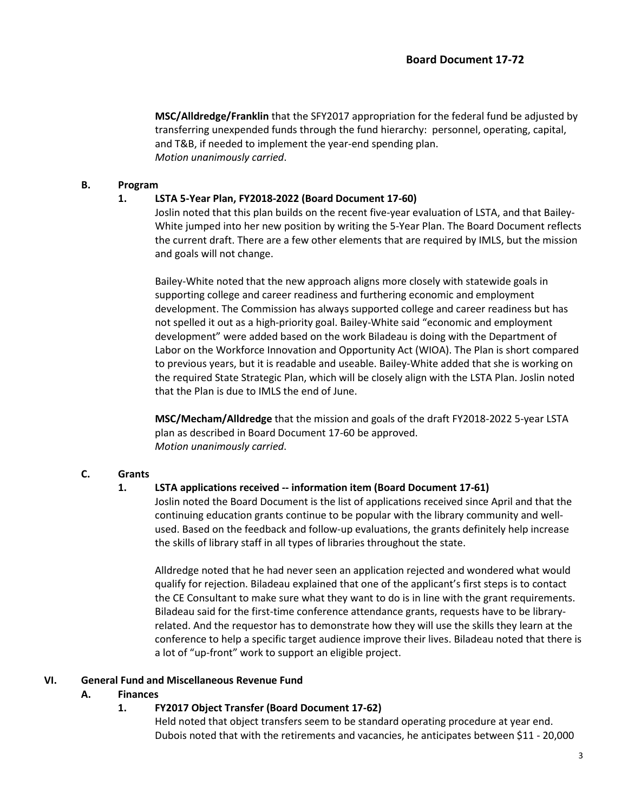**MSC/Alldredge/Franklin** that the SFY2017 appropriation for the federal fund be adjusted by transferring unexpended funds through the fund hierarchy: personnel, operating, capital, and T&B, if needed to implement the year-end spending plan. *Motion unanimously carried*.

#### **B. Program**

#### **1. LSTA 5-Year Plan, FY2018-2022 (Board Document 17-60)**

Joslin noted that this plan builds on the recent five-year evaluation of LSTA, and that Bailey-White jumped into her new position by writing the 5-Year Plan. The Board Document reflects the current draft. There are a few other elements that are required by IMLS, but the mission and goals will not change.

Bailey-White noted that the new approach aligns more closely with statewide goals in supporting college and career readiness and furthering economic and employment development. The Commission has always supported college and career readiness but has not spelled it out as a high-priority goal. Bailey-White said "economic and employment development" were added based on the work Biladeau is doing with the Department of Labor on the Workforce Innovation and Opportunity Act (WIOA). The Plan is short compared to previous years, but it is readable and useable. Bailey-White added that she is working on the required State Strategic Plan, which will be closely align with the LSTA Plan. Joslin noted that the Plan is due to IMLS the end of June.

**MSC/Mecham/Alldredge** that the mission and goals of the draft FY2018-2022 5-year LSTA plan as described in Board Document 17-60 be approved. *Motion unanimously carried*.

## **C. Grants**

## **1. LSTA applications received -- information item (Board Document 17-61)**

Joslin noted the Board Document is the list of applications received since April and that the continuing education grants continue to be popular with the library community and wellused. Based on the feedback and follow-up evaluations, the grants definitely help increase the skills of library staff in all types of libraries throughout the state.

Alldredge noted that he had never seen an application rejected and wondered what would qualify for rejection. Biladeau explained that one of the applicant's first steps is to contact the CE Consultant to make sure what they want to do is in line with the grant requirements. Biladeau said for the first-time conference attendance grants, requests have to be libraryrelated. And the requestor has to demonstrate how they will use the skills they learn at the conference to help a specific target audience improve their lives. Biladeau noted that there is a lot of "up-front" work to support an eligible project.

## **VI. General Fund and Miscellaneous Revenue Fund**

## **A. Finances**

## **1. FY2017 Object Transfer (Board Document 17-62)**

Held noted that object transfers seem to be standard operating procedure at year end. Dubois noted that with the retirements and vacancies, he anticipates between \$11 - 20,000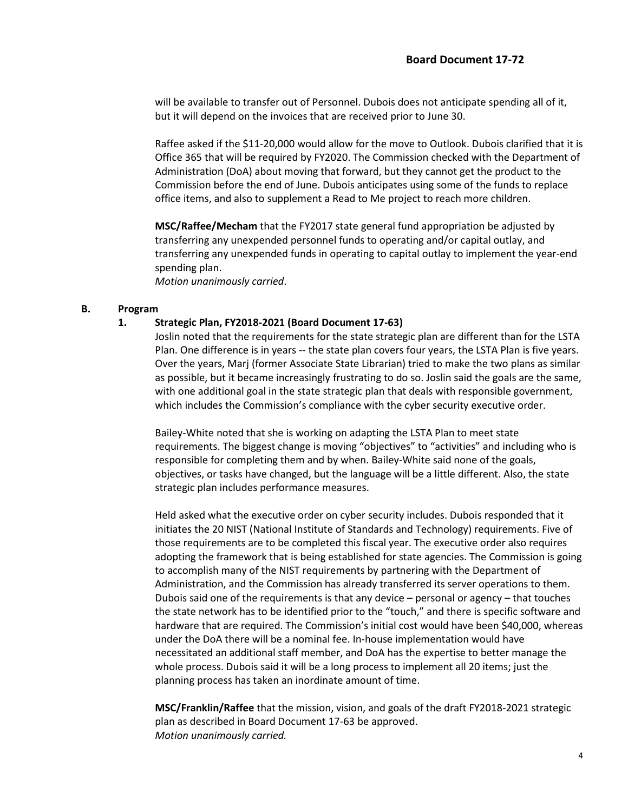will be available to transfer out of Personnel. Dubois does not anticipate spending all of it, but it will depend on the invoices that are received prior to June 30.

Raffee asked if the \$11-20,000 would allow for the move to Outlook. Dubois clarified that it is Office 365 that will be required by FY2020. The Commission checked with the Department of Administration (DoA) about moving that forward, but they cannot get the product to the Commission before the end of June. Dubois anticipates using some of the funds to replace office items, and also to supplement a Read to Me project to reach more children.

**MSC/Raffee/Mecham** that the FY2017 state general fund appropriation be adjusted by transferring any unexpended personnel funds to operating and/or capital outlay, and transferring any unexpended funds in operating to capital outlay to implement the year-end spending plan.

*Motion unanimously carried*.

#### **B. Program**

#### **1. Strategic Plan, FY2018-2021 (Board Document 17-63)**

Joslin noted that the requirements for the state strategic plan are different than for the LSTA Plan. One difference is in years -- the state plan covers four years, the LSTA Plan is five years. Over the years, Marj (former Associate State Librarian) tried to make the two plans as similar as possible, but it became increasingly frustrating to do so. Joslin said the goals are the same, with one additional goal in the state strategic plan that deals with responsible government, which includes the Commission's compliance with the cyber security executive order.

Bailey-White noted that she is working on adapting the LSTA Plan to meet state requirements. The biggest change is moving "objectives" to "activities" and including who is responsible for completing them and by when. Bailey-White said none of the goals, objectives, or tasks have changed, but the language will be a little different. Also, the state strategic plan includes performance measures.

Held asked what the executive order on cyber security includes. Dubois responded that it initiates the 20 NIST (National Institute of Standards and Technology) requirements. Five of those requirements are to be completed this fiscal year. The executive order also requires adopting the framework that is being established for state agencies. The Commission is going to accomplish many of the NIST requirements by partnering with the Department of Administration, and the Commission has already transferred its server operations to them. Dubois said one of the requirements is that any device – personal or agency – that touches the state network has to be identified prior to the "touch," and there is specific software and hardware that are required. The Commission's initial cost would have been \$40,000, whereas under the DoA there will be a nominal fee. In-house implementation would have necessitated an additional staff member, and DoA has the expertise to better manage the whole process. Dubois said it will be a long process to implement all 20 items; just the planning process has taken an inordinate amount of time.

**MSC/Franklin/Raffee** that the mission, vision, and goals of the draft FY2018-2021 strategic plan as described in Board Document 17-63 be approved. *Motion unanimously carried.*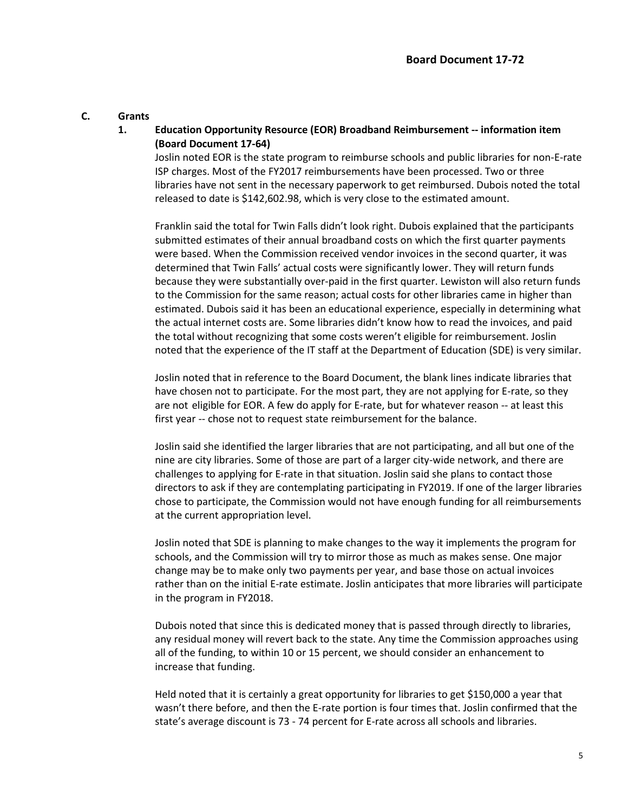#### **C. Grants**

## **1. Education Opportunity Resource (EOR) Broadband Reimbursement -- information item (Board Document 17-64)**

Joslin noted EOR is the state program to reimburse schools and public libraries for non-E-rate ISP charges. Most of the FY2017 reimbursements have been processed. Two or three libraries have not sent in the necessary paperwork to get reimbursed. Dubois noted the total released to date is \$142,602.98, which is very close to the estimated amount.

Franklin said the total for Twin Falls didn't look right. Dubois explained that the participants submitted estimates of their annual broadband costs on which the first quarter payments were based. When the Commission received vendor invoices in the second quarter, it was determined that Twin Falls' actual costs were significantly lower. They will return funds because they were substantially over-paid in the first quarter. Lewiston will also return funds to the Commission for the same reason; actual costs for other libraries came in higher than estimated. Dubois said it has been an educational experience, especially in determining what the actual internet costs are. Some libraries didn't know how to read the invoices, and paid the total without recognizing that some costs weren't eligible for reimbursement. Joslin noted that the experience of the IT staff at the Department of Education (SDE) is very similar.

Joslin noted that in reference to the Board Document, the blank lines indicate libraries that have chosen not to participate. For the most part, they are not applying for E-rate, so they are not eligible for EOR. A few do apply for E-rate, but for whatever reason -- at least this first year -- chose not to request state reimbursement for the balance.

Joslin said she identified the larger libraries that are not participating, and all but one of the nine are city libraries. Some of those are part of a larger city-wide network, and there are challenges to applying for E-rate in that situation. Joslin said she plans to contact those directors to ask if they are contemplating participating in FY2019. If one of the larger libraries chose to participate, the Commission would not have enough funding for all reimbursements at the current appropriation level.

Joslin noted that SDE is planning to make changes to the way it implements the program for schools, and the Commission will try to mirror those as much as makes sense. One major change may be to make only two payments per year, and base those on actual invoices rather than on the initial E-rate estimate. Joslin anticipates that more libraries will participate in the program in FY2018.

Dubois noted that since this is dedicated money that is passed through directly to libraries, any residual money will revert back to the state. Any time the Commission approaches using all of the funding, to within 10 or 15 percent, we should consider an enhancement to increase that funding.

Held noted that it is certainly a great opportunity for libraries to get \$150,000 a year that wasn't there before, and then the E-rate portion is four times that. Joslin confirmed that the state's average discount is 73 - 74 percent for E-rate across all schools and libraries.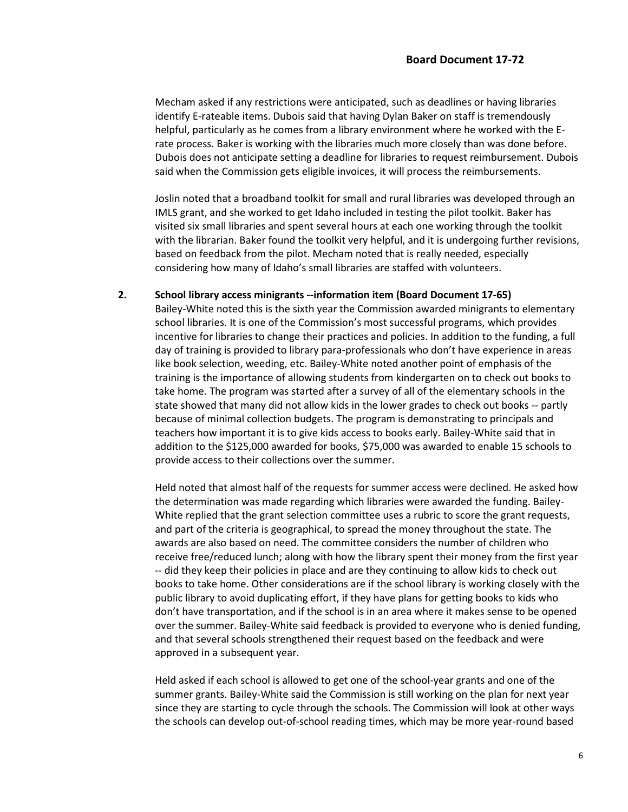Mecham asked if any restrictions were anticipated, such as deadlines or having libraries identify E-rateable items. Dubois said that having Dylan Baker on staff is tremendously helpful, particularly as he comes from a library environment where he worked with the Erate process. Baker is working with the libraries much more closely than was done before. Dubois does not anticipate setting a deadline for libraries to request reimbursement. Dubois said when the Commission gets eligible invoices, it will process the reimbursements.

Joslin noted that a broadband toolkit for small and rural libraries was developed through an IMLS grant, and she worked to get Idaho included in testing the pilot toolkit. Baker has visited six small libraries and spent several hours at each one working through the toolkit with the librarian. Baker found the toolkit very helpful, and it is undergoing further revisions, based on feedback from the pilot. Mecham noted that is really needed, especially considering how many of Idaho's small libraries are staffed with volunteers.

## **2. School library access minigrants --information item (Board Document 17-65)**

Bailey-White noted this is the sixth year the Commission awarded minigrants to elementary school libraries. It is one of the Commission's most successful programs, which provides incentive for libraries to change their practices and policies. In addition to the funding, a full day of training is provided to library para-professionals who don't have experience in areas like book selection, weeding, etc. Bailey-White noted another point of emphasis of the training is the importance of allowing students from kindergarten on to check out books to take home. The program was started after a survey of all of the elementary schools in the state showed that many did not allow kids in the lower grades to check out books -- partly because of minimal collection budgets. The program is demonstrating to principals and teachers how important it is to give kids access to books early. Bailey-White said that in addition to the \$125,000 awarded for books, \$75,000 was awarded to enable 15 schools to provide access to their collections over the summer.

Held noted that almost half of the requests for summer access were declined. He asked how the determination was made regarding which libraries were awarded the funding. Bailey-White replied that the grant selection committee uses a rubric to score the grant requests, and part of the criteria is geographical, to spread the money throughout the state. The awards are also based on need. The committee considers the number of children who receive free/reduced lunch; along with how the library spent their money from the first year -- did they keep their policies in place and are they continuing to allow kids to check out books to take home. Other considerations are if the school library is working closely with the public library to avoid duplicating effort, if they have plans for getting books to kids who don't have transportation, and if the school is in an area where it makes sense to be opened over the summer. Bailey-White said feedback is provided to everyone who is denied funding, and that several schools strengthened their request based on the feedback and were approved in a subsequent year.

Held asked if each school is allowed to get one of the school-year grants and one of the summer grants. Bailey-White said the Commission is still working on the plan for next year since they are starting to cycle through the schools. The Commission will look at other ways the schools can develop out-of-school reading times, which may be more year-round based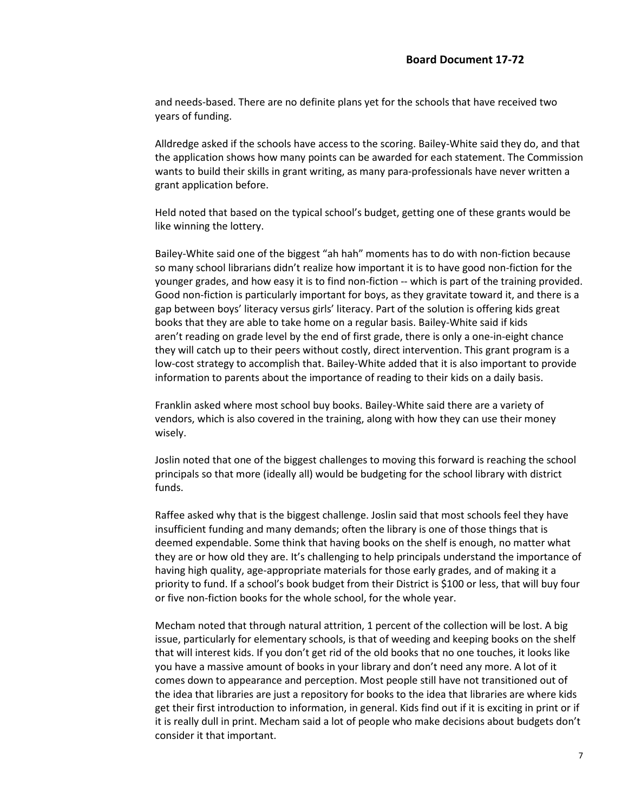and needs-based. There are no definite plans yet for the schools that have received two years of funding.

Alldredge asked if the schools have access to the scoring. Bailey-White said they do, and that the application shows how many points can be awarded for each statement. The Commission wants to build their skills in grant writing, as many para-professionals have never written a grant application before.

Held noted that based on the typical school's budget, getting one of these grants would be like winning the lottery.

Bailey-White said one of the biggest "ah hah" moments has to do with non-fiction because so many school librarians didn't realize how important it is to have good non-fiction for the younger grades, and how easy it is to find non-fiction -- which is part of the training provided. Good non-fiction is particularly important for boys, as they gravitate toward it, and there is a gap between boys' literacy versus girls' literacy. Part of the solution is offering kids great books that they are able to take home on a regular basis. Bailey-White said if kids aren't reading on grade level by the end of first grade, there is only a one-in-eight chance they will catch up to their peers without costly, direct intervention. This grant program is a low-cost strategy to accomplish that. Bailey-White added that it is also important to provide information to parents about the importance of reading to their kids on a daily basis.

Franklin asked where most school buy books. Bailey-White said there are a variety of vendors, which is also covered in the training, along with how they can use their money wisely.

Joslin noted that one of the biggest challenges to moving this forward is reaching the school principals so that more (ideally all) would be budgeting for the school library with district funds.

Raffee asked why that is the biggest challenge. Joslin said that most schools feel they have insufficient funding and many demands; often the library is one of those things that is deemed expendable. Some think that having books on the shelf is enough, no matter what they are or how old they are. It's challenging to help principals understand the importance of having high quality, age-appropriate materials for those early grades, and of making it a priority to fund. If a school's book budget from their District is \$100 or less, that will buy four or five non-fiction books for the whole school, for the whole year.

Mecham noted that through natural attrition, 1 percent of the collection will be lost. A big issue, particularly for elementary schools, is that of weeding and keeping books on the shelf that will interest kids. If you don't get rid of the old books that no one touches, it looks like you have a massive amount of books in your library and don't need any more. A lot of it comes down to appearance and perception. Most people still have not transitioned out of the idea that libraries are just a repository for books to the idea that libraries are where kids get their first introduction to information, in general. Kids find out if it is exciting in print or if it is really dull in print. Mecham said a lot of people who make decisions about budgets don't consider it that important.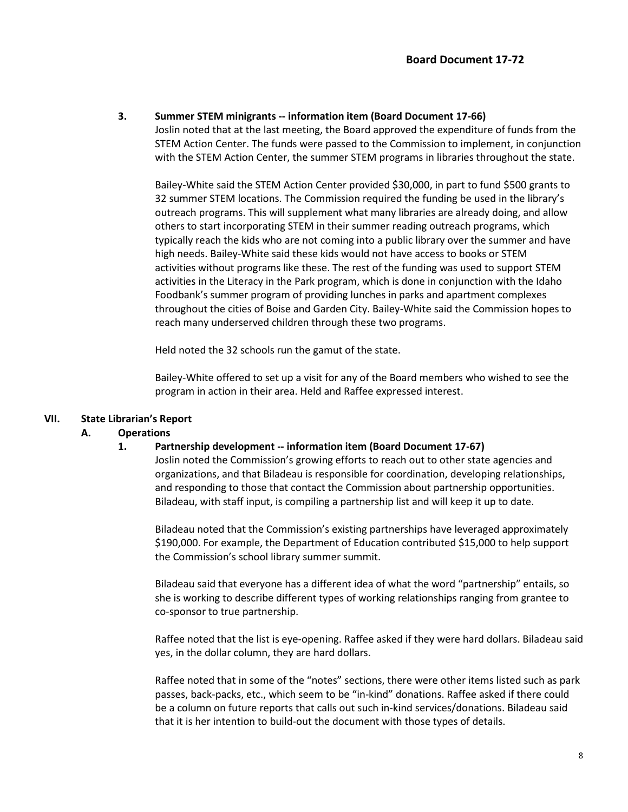## **3. Summer STEM minigrants -- information item (Board Document 17-66)**

Joslin noted that at the last meeting, the Board approved the expenditure of funds from the STEM Action Center. The funds were passed to the Commission to implement, in conjunction with the STEM Action Center, the summer STEM programs in libraries throughout the state.

Bailey-White said the STEM Action Center provided \$30,000, in part to fund \$500 grants to 32 summer STEM locations. The Commission required the funding be used in the library's outreach programs. This will supplement what many libraries are already doing, and allow others to start incorporating STEM in their summer reading outreach programs, which typically reach the kids who are not coming into a public library over the summer and have high needs. Bailey-White said these kids would not have access to books or STEM activities without programs like these. The rest of the funding was used to support STEM activities in the Literacy in the Park program, which is done in conjunction with the Idaho Foodbank's summer program of providing lunches in parks and apartment complexes throughout the cities of Boise and Garden City. Bailey-White said the Commission hopes to reach many underserved children through these two programs.

Held noted the 32 schools run the gamut of the state.

Bailey-White offered to set up a visit for any of the Board members who wished to see the program in action in their area. Held and Raffee expressed interest.

## **VII. State Librarian's Report**

## **A. Operations**

## **1. Partnership development -- information item (Board Document 17-67)**

Joslin noted the Commission's growing efforts to reach out to other state agencies and organizations, and that Biladeau is responsible for coordination, developing relationships, and responding to those that contact the Commission about partnership opportunities. Biladeau, with staff input, is compiling a partnership list and will keep it up to date.

Biladeau noted that the Commission's existing partnerships have leveraged approximately \$190,000. For example, the Department of Education contributed \$15,000 to help support the Commission's school library summer summit.

Biladeau said that everyone has a different idea of what the word "partnership" entails, so she is working to describe different types of working relationships ranging from grantee to co-sponsor to true partnership.

Raffee noted that the list is eye-opening. Raffee asked if they were hard dollars. Biladeau said yes, in the dollar column, they are hard dollars.

Raffee noted that in some of the "notes" sections, there were other items listed such as park passes, back-packs, etc., which seem to be "in-kind" donations. Raffee asked if there could be a column on future reports that calls out such in-kind services/donations. Biladeau said that it is her intention to build-out the document with those types of details.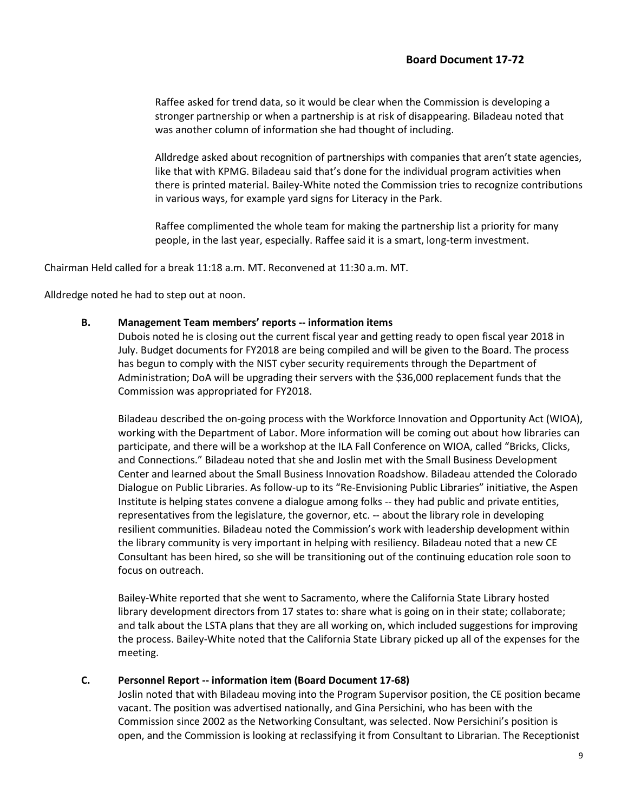Raffee asked for trend data, so it would be clear when the Commission is developing a stronger partnership or when a partnership is at risk of disappearing. Biladeau noted that was another column of information she had thought of including.

Alldredge asked about recognition of partnerships with companies that aren't state agencies, like that with KPMG. Biladeau said that's done for the individual program activities when there is printed material. Bailey-White noted the Commission tries to recognize contributions in various ways, for example yard signs for Literacy in the Park.

Raffee complimented the whole team for making the partnership list a priority for many people, in the last year, especially. Raffee said it is a smart, long-term investment.

Chairman Held called for a break 11:18 a.m. MT. Reconvened at 11:30 a.m. MT.

Alldredge noted he had to step out at noon.

#### **B. Management Team members' reports -- information items**

Dubois noted he is closing out the current fiscal year and getting ready to open fiscal year 2018 in July. Budget documents for FY2018 are being compiled and will be given to the Board. The process has begun to comply with the NIST cyber security requirements through the Department of Administration; DoA will be upgrading their servers with the \$36,000 replacement funds that the Commission was appropriated for FY2018.

Biladeau described the on-going process with the Workforce Innovation and Opportunity Act (WIOA), working with the Department of Labor. More information will be coming out about how libraries can participate, and there will be a workshop at the ILA Fall Conference on WIOA, called "Bricks, Clicks, and Connections." Biladeau noted that she and Joslin met with the Small Business Development Center and learned about the Small Business Innovation Roadshow. Biladeau attended the Colorado Dialogue on Public Libraries. As follow-up to its "Re-Envisioning Public Libraries" initiative, the Aspen Institute is helping states convene a dialogue among folks -- they had public and private entities, representatives from the legislature, the governor, etc. -- about the library role in developing resilient communities. Biladeau noted the Commission's work with leadership development within the library community is very important in helping with resiliency. Biladeau noted that a new CE Consultant has been hired, so she will be transitioning out of the continuing education role soon to focus on outreach.

Bailey-White reported that she went to Sacramento, where the California State Library hosted library development directors from 17 states to: share what is going on in their state; collaborate; and talk about the LSTA plans that they are all working on, which included suggestions for improving the process. Bailey-White noted that the California State Library picked up all of the expenses for the meeting.

#### **C. Personnel Report -- information item (Board Document 17-68)**

Joslin noted that with Biladeau moving into the Program Supervisor position, the CE position became vacant. The position was advertised nationally, and Gina Persichini, who has been with the Commission since 2002 as the Networking Consultant, was selected. Now Persichini's position is open, and the Commission is looking at reclassifying it from Consultant to Librarian. The Receptionist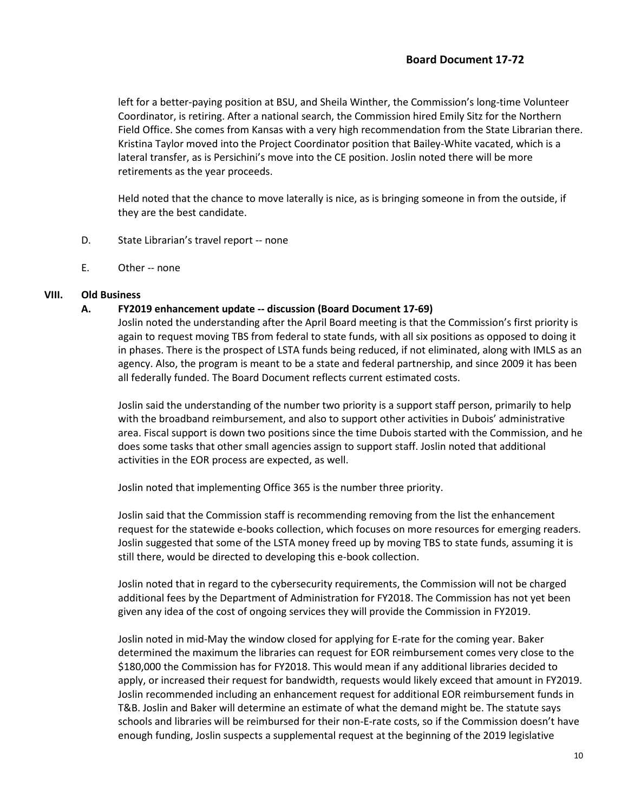left for a better-paying position at BSU, and Sheila Winther, the Commission's long-time Volunteer Coordinator, is retiring. After a national search, the Commission hired Emily Sitz for the Northern Field Office. She comes from Kansas with a very high recommendation from the State Librarian there. Kristina Taylor moved into the Project Coordinator position that Bailey-White vacated, which is a lateral transfer, as is Persichini's move into the CE position. Joslin noted there will be more retirements as the year proceeds.

Held noted that the chance to move laterally is nice, as is bringing someone in from the outside, if they are the best candidate.

- D. State Librarian's travel report -- none
- E. Other -- none

## **VIII. Old Business**

## **A. FY2019 enhancement update -- discussion (Board Document 17-69)**

Joslin noted the understanding after the April Board meeting is that the Commission's first priority is again to request moving TBS from federal to state funds, with all six positions as opposed to doing it in phases. There is the prospect of LSTA funds being reduced, if not eliminated, along with IMLS as an agency. Also, the program is meant to be a state and federal partnership, and since 2009 it has been all federally funded. The Board Document reflects current estimated costs.

Joslin said the understanding of the number two priority is a support staff person, primarily to help with the broadband reimbursement, and also to support other activities in Dubois' administrative area. Fiscal support is down two positions since the time Dubois started with the Commission, and he does some tasks that other small agencies assign to support staff. Joslin noted that additional activities in the EOR process are expected, as well.

Joslin noted that implementing Office 365 is the number three priority.

Joslin said that the Commission staff is recommending removing from the list the enhancement request for the statewide e-books collection, which focuses on more resources for emerging readers. Joslin suggested that some of the LSTA money freed up by moving TBS to state funds, assuming it is still there, would be directed to developing this e-book collection.

Joslin noted that in regard to the cybersecurity requirements, the Commission will not be charged additional fees by the Department of Administration for FY2018. The Commission has not yet been given any idea of the cost of ongoing services they will provide the Commission in FY2019.

Joslin noted in mid-May the window closed for applying for E-rate for the coming year. Baker determined the maximum the libraries can request for EOR reimbursement comes very close to the \$180,000 the Commission has for FY2018. This would mean if any additional libraries decided to apply, or increased their request for bandwidth, requests would likely exceed that amount in FY2019. Joslin recommended including an enhancement request for additional EOR reimbursement funds in T&B. Joslin and Baker will determine an estimate of what the demand might be. The statute says schools and libraries will be reimbursed for their non-E-rate costs, so if the Commission doesn't have enough funding, Joslin suspects a supplemental request at the beginning of the 2019 legislative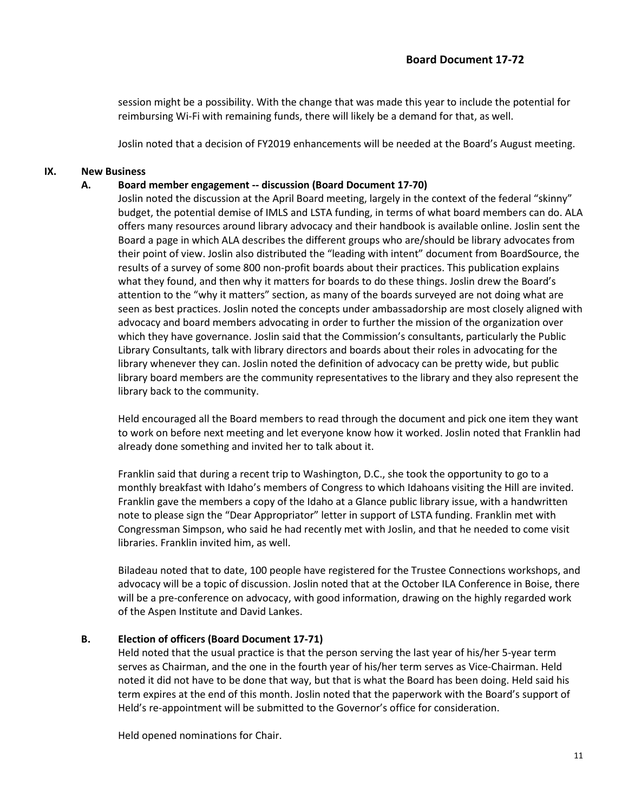session might be a possibility. With the change that was made this year to include the potential for reimbursing Wi-Fi with remaining funds, there will likely be a demand for that, as well.

Joslin noted that a decision of FY2019 enhancements will be needed at the Board's August meeting.

#### **IX. New Business**

#### **A. Board member engagement -- discussion (Board Document 17-70)**

Joslin noted the discussion at the April Board meeting, largely in the context of the federal "skinny" budget, the potential demise of IMLS and LSTA funding, in terms of what board members can do. ALA offers many resources around library advocacy and their handbook is available online. Joslin sent the Board a page in which ALA describes the different groups who are/should be library advocates from their point of view. Joslin also distributed the "leading with intent" document from BoardSource, the results of a survey of some 800 non-profit boards about their practices. This publication explains what they found, and then why it matters for boards to do these things. Joslin drew the Board's attention to the "why it matters" section, as many of the boards surveyed are not doing what are seen as best practices. Joslin noted the concepts under ambassadorship are most closely aligned with advocacy and board members advocating in order to further the mission of the organization over which they have governance. Joslin said that the Commission's consultants, particularly the Public Library Consultants, talk with library directors and boards about their roles in advocating for the library whenever they can. Joslin noted the definition of advocacy can be pretty wide, but public library board members are the community representatives to the library and they also represent the library back to the community.

Held encouraged all the Board members to read through the document and pick one item they want to work on before next meeting and let everyone know how it worked. Joslin noted that Franklin had already done something and invited her to talk about it.

Franklin said that during a recent trip to Washington, D.C., she took the opportunity to go to a monthly breakfast with Idaho's members of Congress to which Idahoans visiting the Hill are invited. Franklin gave the members a copy of the Idaho at a Glance public library issue, with a handwritten note to please sign the "Dear Appropriator" letter in support of LSTA funding. Franklin met with Congressman Simpson, who said he had recently met with Joslin, and that he needed to come visit libraries. Franklin invited him, as well.

Biladeau noted that to date, 100 people have registered for the Trustee Connections workshops, and advocacy will be a topic of discussion. Joslin noted that at the October ILA Conference in Boise, there will be a pre-conference on advocacy, with good information, drawing on the highly regarded work of the Aspen Institute and David Lankes.

#### **B. Election of officers (Board Document 17-71)**

Held noted that the usual practice is that the person serving the last year of his/her 5-year term serves as Chairman, and the one in the fourth year of his/her term serves as Vice-Chairman. Held noted it did not have to be done that way, but that is what the Board has been doing. Held said his term expires at the end of this month. Joslin noted that the paperwork with the Board's support of Held's re-appointment will be submitted to the Governor's office for consideration.

Held opened nominations for Chair.